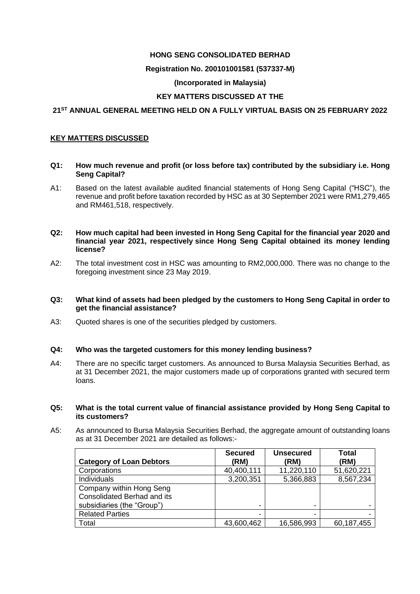### **HONG SENG CONSOLIDATED BERHAD**

## **Registration No. 200101001581 (537337-M)**

## **(Incorporated in Malaysia)**

## **KEY MATTERS DISCUSSED AT THE**

## **21ST ANNUAL GENERAL MEETING HELD ON A FULLY VIRTUAL BASIS ON 25 FEBRUARY 2022**

### **KEY MATTERS DISCUSSED**

#### **Q1: How much revenue and profit (or loss before tax) contributed by the subsidiary i.e. Hong Seng Capital?**

A1: Based on the latest available audited financial statements of Hong Seng Capital ("HSC"), the revenue and profit before taxation recorded by HSC as at 30 September 2021 were RM1,279,465 and RM461,518, respectively.

#### **Q2: How much capital had been invested in Hong Seng Capital for the financial year 2020 and financial year 2021, respectively since Hong Seng Capital obtained its money lending license?**

A2: The total investment cost in HSC was amounting to RM2,000,000. There was no change to the foregoing investment since 23 May 2019.

#### **Q3: What kind of assets had been pledged by the customers to Hong Seng Capital in order to get the financial assistance?**

A3: Quoted shares is one of the securities pledged by customers.

### **Q4: Who was the targeted customers for this money lending business?**

A4: There are no specific target customers. As announced to Bursa Malaysia Securities Berhad, as at 31 December 2021, the major customers made up of corporations granted with secured term loans.

#### **Q5: What is the total current value of financial assistance provided by Hong Seng Capital to its customers?**

A5: As announced to Bursa Malaysia Securities Berhad, the aggregate amount of outstanding loans as at 31 December 2021 are detailed as follows:-

|                                    | <b>Secured</b> | <b>Unsecured</b> | <b>Total</b> |
|------------------------------------|----------------|------------------|--------------|
| <b>Category of Loan Debtors</b>    | (RM)           | (RM)             | (RM)         |
| Corporations                       | 40,400,111     | 11,220,110       | 51,620,221   |
| Individuals                        | 3,200,351      | 5,366,883        | 8,567,234    |
| Company within Hong Seng           |                |                  |              |
| <b>Consolidated Berhad and its</b> |                |                  |              |
| subsidiaries (the "Group")         |                |                  |              |
| <b>Related Parties</b>             |                |                  |              |
| Total                              | 43,600,462     | 16,586,993       | 60,187,455   |